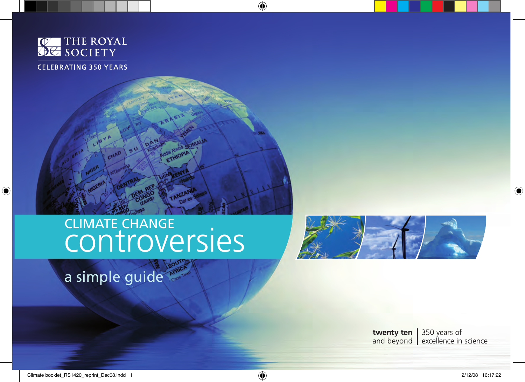

# CLIMATE CHANGE<br>CONTROVERSIES

SU DAN

a simple guide



**twenty ten** 350 years of<br>and beyond excellence in science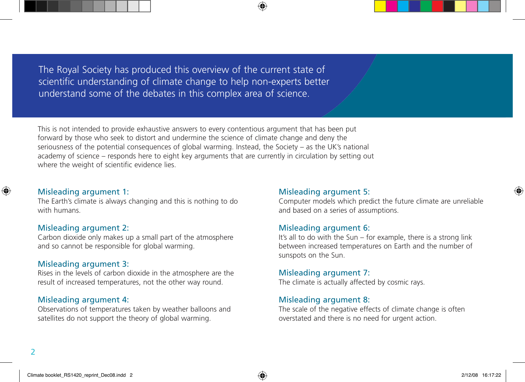The Royal Society has produced this overview of the current state of scientific understanding of climate change to help non-experts better understand some of the debates in this complex area of science.

This is not intended to provide exhaustive answers to every contentious argument that has been put forward by those who seek to distort and undermine the science of climate change and deny the seriousness of the potential consequences of global warming. Instead, the Society – as the UK's national academy of science – responds here to eight key arguments that are currently in circulation by setting out where the weight of scientific evidence lies.

## Misleading argument 1:

The Earth's climate is always changing and this is nothing to do with humans.

## Misleading argument 2:

Carbon dioxide only makes up a small part of the atmosphere and so cannot be responsible for global warming.

## Misleading argument 3:

Rises in the levels of carbon dioxide in the atmosphere are the result of increased temperatures, not the other way round.

## Misleading argument 4:

Observations of temperatures taken by weather balloons and satellites do not support the theory of global warming.

## Misleading argument 5:

Computer models which predict the future climate are unreliable and based on a series of assumptions.

## Misleading argument 6:

It's all to do with the Sun – for example, there is a strong link between increased temperatures on Earth and the number of sunspots on the Sun.

#### Misleading argument 7:

The climate is actually affected by cosmic rays.

## Misleading argument 8:

The scale of the negative effects of climate change is often overstated and there is no need for urgent action.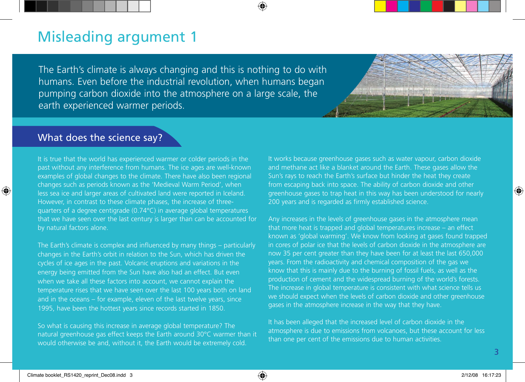The Earth's climate is always changing and this is nothing to do with humans. Even before the industrial revolution, when humans began pumping carbon dioxide into the atmosphere on a large scale, the earth experienced warmer periods.



## What does the science say?

It is true that the world has experienced warmer or colder periods in the past without any interference from humans. The ice ages are well-known examples of global changes to the climate. There have also been regional changes such as periods known as the 'Medieval Warm Period', when less sea ice and larger areas of cultivated land were reported in Iceland. However, in contrast to these climate phases, the increase of threequarters of a degree centigrade (0.74°C) in average global temperatures that we have seen over the last century is larger than can be accounted for by natural factors alone.

The Earth's climate is complex and influenced by many things – particularly changes in the Earth's orbit in relation to the Sun, which has driven the cycles of ice ages in the past. Volcanic eruptions and variations in the energy being emitted from the Sun have also had an effect. But even when we take all these factors into account, we cannot explain the temperature rises that we have seen over the last 100 years both on land and in the oceans – for example, eleven of the last twelve years, since 1995, have been the hottest years since records started in 1850.

So what is causing this increase in average global temperature? The natural greenhouse gas effect keeps the Earth around 30°C warmer than it would otherwise be and, without it, the Earth would be extremely cold.

It works because greenhouse gases such as water vapour, carbon dioxide and methane act like a blanket around the Earth. These gases allow the Sun's rays to reach the Earth's surface but hinder the heat they create from escaping back into space. The ability of carbon dioxide and other greenhouse gases to trap heat in this way has been understood for nearly 200 years and is regarded as firmly established science.

Any increases in the levels of greenhouse gases in the atmosphere mean that more heat is trapped and global temperatures increase – an effect known as 'global warming'. We know from looking at gases found trapped in cores of polar ice that the levels of carbon dioxide in the atmosphere are now 35 per cent greater than they have been for at least the last 650,000 years. From the radioactivity and chemical composition of the gas we know that this is mainly due to the burning of fossil fuels, as well as the production of cement and the widespread burning of the world's forests. The increase in global temperature is consistent with what science tells us we should expect when the levels of carbon dioxide and other greenhouse gases in the atmosphere increase in the way that they have.

It has been alleged that the increased level of carbon dioxide in the atmosphere is due to emissions from volcanoes, but these account for less than one per cent of the emissions due to human activities.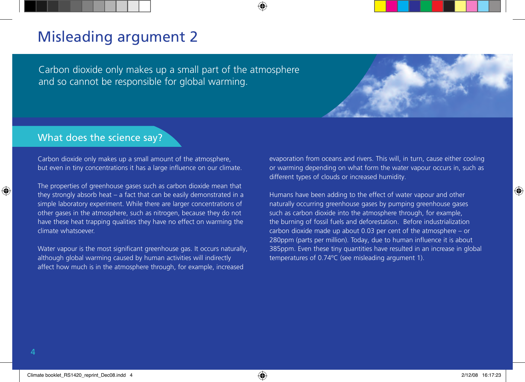Carbon dioxide only makes up a small part of the atmosphere and so cannot be responsible for global warming.

## What does the science say?

Carbon dioxide only makes up a small amount of the atmosphere, but even in tiny concentrations it has a large influence on our climate.

The properties of greenhouse gases such as carbon dioxide mean that they strongly absorb heat – a fact that can be easily demonstrated in a simple laboratory experiment. While there are larger concentrations of other gases in the atmosphere, such as nitrogen, because they do not have these heat trapping qualities they have no effect on warming the climate whatsoever.

Water vapour is the most significant greenhouse gas. It occurs naturally, although global warming caused by human activities will indirectly affect how much is in the atmosphere through, for example, increased

evaporation from oceans and rivers. This will, in turn, cause either cooling or warming depending on what form the water vapour occurs in, such as different types of clouds or increased humidity.

Humans have been adding to the effect of water vapour and other naturally occurring greenhouse gases by pumping greenhouse gases such as carbon dioxide into the atmosphere through, for example, the burning of fossil fuels and deforestation. Before industrialization carbon dioxide made up about 0.03 per cent of the atmosphere – or 280ppm (parts per million). Today, due to human influence it is about 385ppm. Even these tiny quantities have resulted in an increase in global temperatures of 0.74ºC (see misleading argument 1).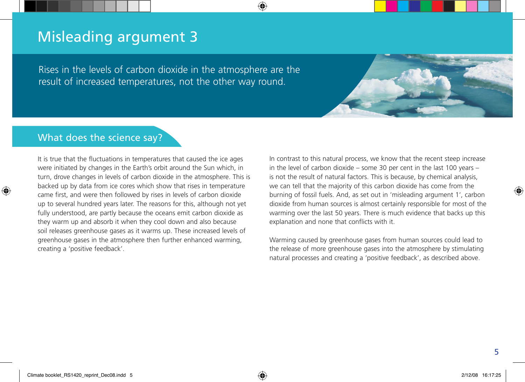Rises in the levels of carbon dioxide in the atmosphere are the result of increased temperatures, not the other way round.



# What does the science say?

It is true that the fluctuations in temperatures that caused the ice ages were initiated by changes in the Earth's orbit around the Sun which, in turn, drove changes in levels of carbon dioxide in the atmosphere. This is backed up by data from ice cores which show that rises in temperature came first, and were then followed by rises in levels of carbon dioxide up to several hundred years later. The reasons for this, although not yet fully understood, are partly because the oceans emit carbon dioxide as they warm up and absorb it when they cool down and also because soil releases greenhouse gases as it warms up. These increased levels of greenhouse gases in the atmosphere then further enhanced warming, creating a 'positive feedback'.

In contrast to this natural process, we know that the recent steep increase in the level of carbon dioxide – some 30 per cent in the last 100 years – is not the result of natural factors. This is because, by chemical analysis, we can tell that the majority of this carbon dioxide has come from the burning of fossil fuels. And, as set out in 'misleading argument 1', carbon dioxide from human sources is almost certainly responsible for most of the warming over the last 50 years. There is much evidence that backs up this explanation and none that conflicts with it.

Warming caused by greenhouse gases from human sources could lead to the release of more greenhouse gases into the atmosphere by stimulating natural processes and creating a 'positive feedback', as described above.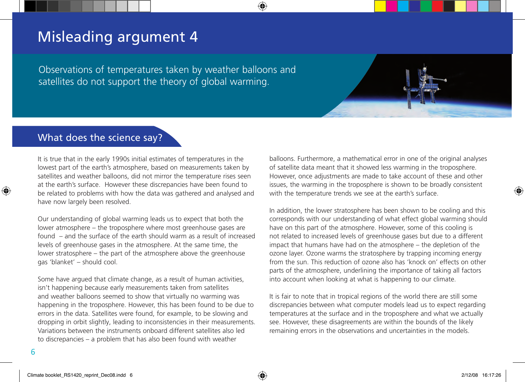Observations of temperatures taken by weather balloons and satellites do not support the theory of global warming.

## What does the science say?

It is true that in the early 1990s initial estimates of temperatures in the lowest part of the earth's atmosphere, based on measurements taken by satellites and weather balloons, did not mirror the temperature rises seen at the earth's surface. However these discrepancies have been found to be related to problems with how the data was gathered and analysed and have now largely been resolved.

Our understanding of global warming leads us to expect that both the lower atmosphere – the troposphere where most greenhouse gases are found – and the surface of the earth should warm as a result of increased levels of greenhouse gases in the atmosphere. At the same time, the lower stratosphere – the part of the atmosphere above the greenhouse gas 'blanket' – should cool.

Some have argued that climate change, as a result of human activities, isn't happening because early measurements taken from satellites and weather balloons seemed to show that virtually no warming was happening in the troposphere. However, this has been found to be due to errors in the data. Satellites were found, for example, to be slowing and dropping in orbit slightly, leading to inconsistencies in their measurements. Variations between the instruments onboard different satellites also led to discrepancies – a problem that has also been found with weather

balloons. Furthermore, a mathematical error in one of the original analyses of satellite data meant that it showed less warming in the troposphere. However, once adjustments are made to take account of these and other issues, the warming in the troposphere is shown to be broadly consistent with the temperature trends we see at the earth's surface.

In addition, the lower stratosphere has been shown to be cooling and this corresponds with our understanding of what effect global warming should have on this part of the atmosphere. However, some of this cooling is not related to increased levels of greenhouse gases but due to a different impact that humans have had on the atmosphere – the depletion of the ozone layer. Ozone warms the stratosphere by trapping incoming energy from the sun. This reduction of ozone also has 'knock on' effects on other parts of the atmosphere, underlining the importance of taking all factors into account when looking at what is happening to our climate.

It is fair to note that in tropical regions of the world there are still some discrepancies between what computer models lead us to expect regarding temperatures at the surface and in the troposphere and what we actually see. However, these disagreements are within the bounds of the likely remaining errors in the observations and uncertainties in the models.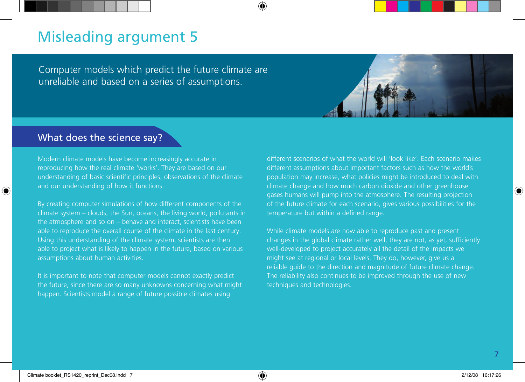Computer models which predict the future climate are unreliable and based on a series of assumptions.



## What does the science say?

Modern climate models have become increasingly accurate in reproducing how the real climate 'works'. They are based on our understanding of basic scientific principles, observations of the climate and our understanding of how it functions.

By creating computer simulations of how different components of the climate system – clouds, the Sun, oceans, the living world, pollutants in the atmosphere and so on – behave and interact, scientists have been able to reproduce the overall course of the climate in the last century. Using this understanding of the climate system, scientists are then able to project what is likely to happen in the future, based on various assumptions about human activities.

It is important to note that computer models cannot exactly predict the future, since there are so many unknowns concerning what might happen. Scientists model a range of future possible climates using

different scenarios of what the world will 'look like'. Each scenario makes different assumptions about important factors such as how the world's population may increase, what policies might be introduced to deal with climate change and how much carbon dioxide and other greenhouse gases humans will pump into the atmosphere. The resulting projection of the future climate for each scenario, gives various possibilities for the temperature but within a defined range.

While climate models are now able to reproduce past and present changes in the global climate rather well, they are not, as yet, sufficiently well-developed to project accurately all the detail of the impacts we might see at regional or local levels. They do, however, give us a reliable guide to the direction and magnitude of future climate change. The reliability also continues to be improved through the use of new techniques and technologies.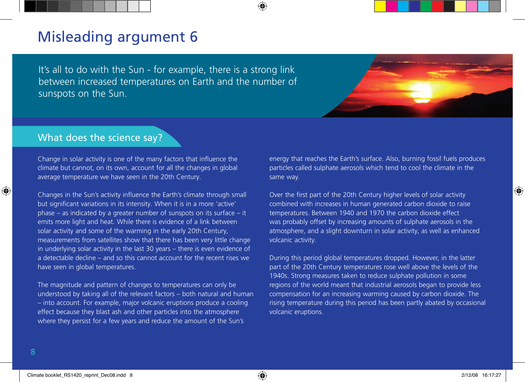It's all to do with the Sun - for example, there is a strong link between increased temperatures on Earth and the number of sunspots on the Sun.



## What does the science say?

Change in solar activity is one of the many factors that influence the climate but cannot, on its own, account for all the changes in global average temperature we have seen in the 20th Century.

Changes in the Sun's activity influence the Earth's climate through small but significant variations in its intensity. When it is in a more 'active' phase – as indicated by a greater number of sunspots on its surface – it emits more light and heat. While there is evidence of a link between solar activity and some of the warming in the early 20th Century, measurements from satellites show that there has been very little change in underlying solar activity in the last 30 years – there is even evidence of a detectable decline – and so this cannot account for the recent rises we have seen in global temperatures.

The magnitude and pattern of changes to temperatures can only be understood by taking all of the relevant factors – both natural and human – into account. For example, major volcanic eruptions produce a cooling effect because they blast ash and other particles into the atmosphere where they persist for a few years and reduce the amount of the Sun's

energy that reaches the Earth's surface. Also, burning fossil fuels produces particles called sulphate aerosols which tend to cool the climate in the same way.

Over the first part of the 20th Century higher levels of solar activity combined with increases in human generated carbon dioxide to raise temperatures. Between 1940 and 1970 the carbon dioxide effect was probably offset by increasing amounts of sulphate aerosols in the atmosphere, and a slight downturn in solar activity, as well as enhanced volcanic activity.

During this period global temperatures dropped. However, in the latter part of the 20th Century temperatures rose well above the levels of the 1940s. Strong measures taken to reduce sulphate pollution in some regions of the world meant that industrial aerosols began to provide less compensation for an increasing warming caused by carbon dioxide. The rising temperature during this period has been partly abated by occasional volcanic eruptions.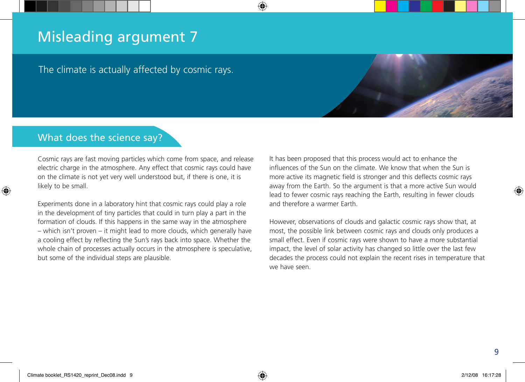The climate is actually affected by cosmic rays.

# What does the science say?

Cosmic rays are fast moving particles which come from space, and release electric charge in the atmosphere. Any effect that cosmic rays could have on the climate is not yet very well understood but, if there is one, it is likely to be small.

Experiments done in a laboratory hint that cosmic rays could play a role in the development of tiny particles that could in turn play a part in the formation of clouds. If this happens in the same way in the atmosphere – which isn't proven – it might lead to more clouds, which generally have a cooling effect by reflecting the Sun's rays back into space. Whether the whole chain of processes actually occurs in the atmosphere is speculative, but some of the individual steps are plausible.

It has been proposed that this process would act to enhance the influences of the Sun on the climate. We know that when the Sun is more active its magnetic field is stronger and this deflects cosmic rays away from the Earth. So the argument is that a more active Sun would lead to fewer cosmic rays reaching the Earth, resulting in fewer clouds and therefore a warmer Farth

However, observations of clouds and galactic cosmic rays show that, at most, the possible link between cosmic rays and clouds only produces a small effect. Even if cosmic rays were shown to have a more substantial impact, the level of solar activity has changed so little over the last few decades the process could not explain the recent rises in temperature that we have seen.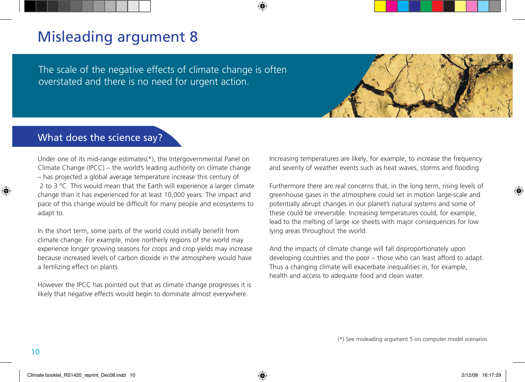The scale of the negative effects of climate change is often overstated and there is no need for urgent action.

## What does the science say?

Under one of its mid-range estimates(\*), the Intergovernmental Panel on Climate Change (IPCC) – the world's leading authority on climate change – has projected a global average temperature increase this century of 2 to 3 °C. This would mean that the Earth will experience a larger climate change than it has experienced for at least 10,000 years. The impact and pace of this change would be difficult for many people and ecosystems to adapt to.

In the short term, some parts of the world could initially benefit from climate change. For example, more northerly regions of the world may experience longer growing seasons for crops and crop yields may increase because increased levels of carbon dioxide in the atmosphere would have a fertilizing effect on plants.

However the IPCC has pointed out that as climate change progresses it is likely that negative effects would begin to dominate almost everywhere.

Increasing temperatures are likely, for example, to increase the frequency and severity of weather events such as heat waves, storms and flooding.

Furthermore there are real concerns that, in the long term, rising levels of greenhouse gases in the atmosphere could set in motion large-scale and potentially abrupt changes in our planet's natural systems and some of these could be irreversible. Increasing temperatures could, for example, lead to the melting of large ice sheets with major consequences for low lying areas throughout the world.

And the impacts of climate change will fall disproportionately upon developing countries and the poor – those who can least afford to adapt. Thus a changing climate will exacerbate inequalities in, for example, health and access to adequate food and clean water.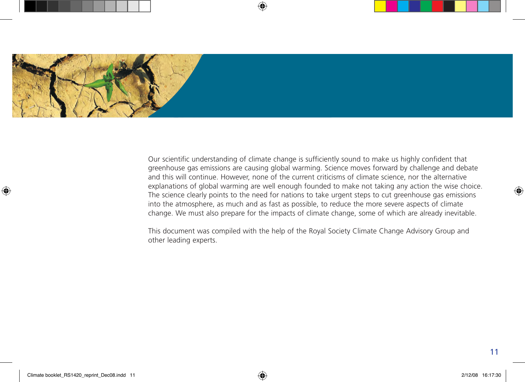

Our scientific understanding of climate change is sufficiently sound to make us highly confident that greenhouse gas emissions are causing global warming. Science moves forward by challenge and debate and this will continue. However, none of the current criticisms of climate science, nor the alternative explanations of global warming are well enough founded to make not taking any action the wise choice. The science clearly points to the need for nations to take urgent steps to cut greenhouse gas emissions into the atmosphere, as much and as fast as possible, to reduce the more severe aspects of climate change. We must also prepare for the impacts of climate change, some of which are already inevitable.

This document was compiled with the help of the Royal Society Climate Change Advisory Group and other leading experts.